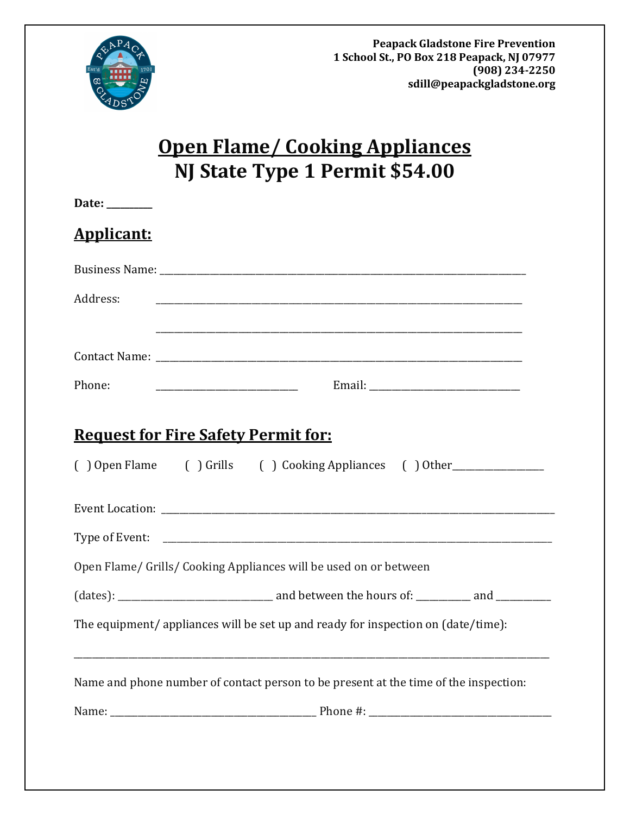

# **Open Flame/ Cooking Appliances NJ State Type 1 Permit \$54.00**

| Date: $\frac{1}{\sqrt{1-\frac{1}{2}} \cdot \frac{1}{2}}$ |                                                                                      |
|----------------------------------------------------------|--------------------------------------------------------------------------------------|
| <b>Applicant:</b>                                        |                                                                                      |
|                                                          |                                                                                      |
| Address:                                                 |                                                                                      |
|                                                          |                                                                                      |
|                                                          |                                                                                      |
| Phone:                                                   |                                                                                      |
|                                                          | <b>Request for Fire Safety Permit for:</b>                                           |
|                                                          | () Open Flame () Grills () Cooking Appliances () Other                               |
|                                                          |                                                                                      |
|                                                          |                                                                                      |
|                                                          | Open Flame/ Grills/ Cooking Appliances will be used on or between                    |
|                                                          |                                                                                      |
|                                                          | The equipment/appliances will be set up and ready for inspection on (date/time):     |
|                                                          | Name and phone number of contact person to be present at the time of the inspection: |
|                                                          |                                                                                      |
|                                                          |                                                                                      |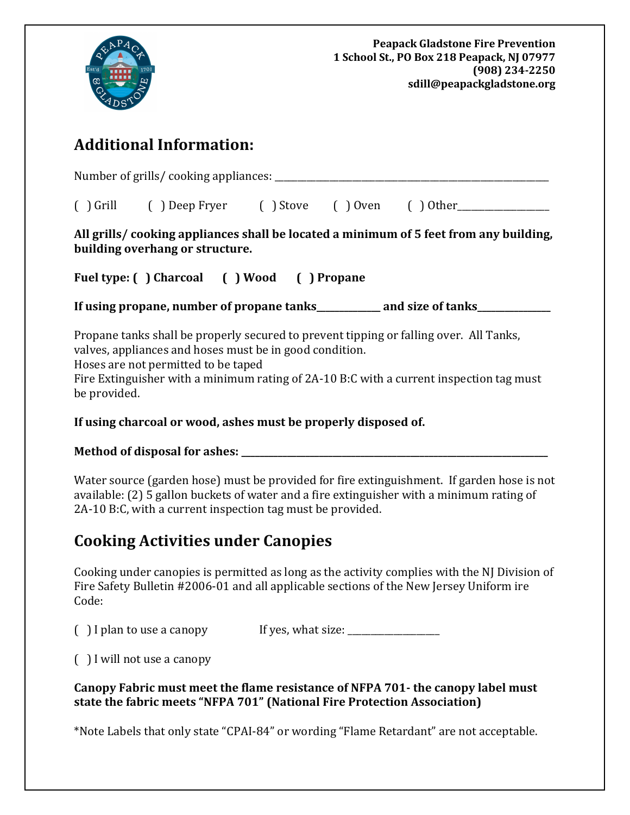

# **Additional Information:**

Number of grills/ cooking appliances: \_\_\_\_\_\_\_\_\_\_\_\_\_\_\_\_\_\_\_\_\_\_\_\_\_\_\_\_\_\_\_\_\_\_\_\_\_\_\_\_\_\_\_\_\_\_\_\_\_\_\_\_\_\_\_\_\_\_\_\_

| $( )$ Grill | () Deep Fryer () Stove () Oven () Other____ |  |  |  |
|-------------|---------------------------------------------|--|--|--|
|-------------|---------------------------------------------|--|--|--|

**All grills/ cooking appliances shall be located a minimum of 5 feet from any building, building overhang or structure.**

**Fuel type: ( ) Charcoal ( ) Wood ( ) Propane**

**If using propane, number of propane tanks\_\_\_\_\_\_\_\_\_\_\_\_\_\_ and size of tanks\_\_\_\_\_\_\_\_\_\_\_\_\_\_\_\_**

Propane tanks shall be properly secured to prevent tipping or falling over. All Tanks, valves, appliances and hoses must be in good condition.

Hoses are not permitted to be taped

Fire Extinguisher with a minimum rating of 2A-10 B:C with a current inspection tag must be provided.

**If using charcoal or wood, ashes must be properly disposed of.**

### **Method of disposal for ashes: \_\_\_\_\_\_\_\_\_\_\_\_\_\_\_\_\_\_\_\_\_\_\_\_\_\_\_\_\_\_\_\_\_\_\_\_\_\_\_\_\_\_\_\_\_\_\_\_\_\_\_\_\_\_\_\_\_\_\_\_\_\_\_\_\_\_\_**

Water source (garden hose) must be provided for fire extinguishment. If garden hose is not available: (2) 5 gallon buckets of water and a fire extinguisher with a minimum rating of 2A-10 B:C, with a current inspection tag must be provided.

## **Cooking Activities under Canopies**

Cooking under canopies is permitted as long as the activity complies with the NJ Division of Fire Safety Bulletin #2006-01 and all applicable sections of the New Jersey Uniform ire Code:

 $\int$  I plan to use a canopy If yes, what size:

( ) I will not use a canopy

**Canopy Fabric must meet the flame resistance of NFPA 701- the canopy label must state the fabric meets "NFPA 701" (National Fire Protection Association)**

\*Note Labels that only state "CPAI-84" or wording "Flame Retardant" are not acceptable.